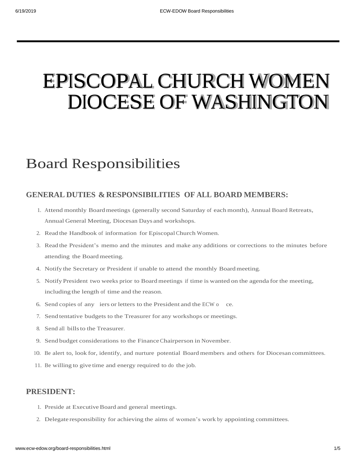# EPISCOPAL CHURCH WOMEN DIOCESE OF WASHINGTON

# Board Responsibilities

# **GENERAL DUTIES & RESPONSIBILITIES OF ALL BOARD MEMBERS:**

- 1. Attend monthly Boardmeetings (generally second Saturday of eachmonth), Annual Board Retreats, Annual General Meeting, Diocesan Days and workshops.
- 2. Read the Handbook of information for Episcopal Church Women.
- 3. Read the President's memo and the minutes and make any additions or corrections to the minutes before attending the Boardmeeting.
- 4. Notify the Secretary or President if unable to attend the monthly Boardmeeting.
- 5. Notify President two weeks prior to Board meetings if time is wanted on the agenda for the meeting, including the length of time and the reason.
- 6. Send copies of any iers or letters to the President and the ECW o ce.
- 7. Send tentative budgets to the Treasurer for any workshops or meetings.
- 8. Send all billsto the Treasurer.
- 9. Send budget considerations to the FinanceChairperson in November.
- 10. Be alert to, look for, identify, and nurture potential Board members and others for Diocesan committees.
- 11. Be willing to give time and energy required to do the job.

## **PRESIDENT:**

- 1. Preside at Executive Board and general meetings.
- 2. Delegate responsibility for achieving the aims of women's work by appointing committees.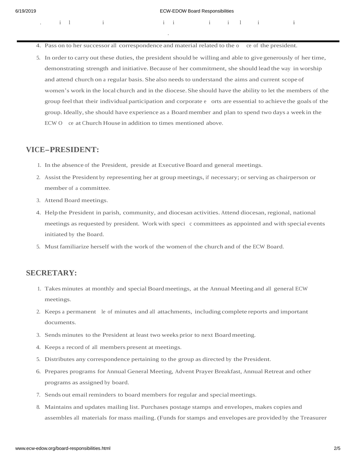|  | $\vdots$ il i ii ii ii i |  |  |  |
|--|--------------------------|--|--|--|
|  |                          |  |  |  |

- 4. Pass on to her successor all correspondence and material related to the <sup>o</sup> ce of the president.
- 5. In order to carry out these duties, the president should be willing and able to give generously of her time, demonstrating strength and initiative. Because of her commitment, she should lead the way in worship and attend church on a regular basis. She also needs to understand the aims and current scope of women's work in the local church and in the diocese. She should have the ability to let the members of the group feel that their individual participation and corporate e orts are essential to achieve the goals of the group. Ideally,she should have experience as <sup>a</sup> Boardmember and plan to spend two days <sup>a</sup> week in the ECW O ce at Church House in addition to times mentioned above.

#### **VICE-PRESIDENT:**

- 1. In the absence of the President, preside at ExecutiveBoard and general meetings.
- 2. Assist the President by representing her at group meetings, if necessary; or serving as chairperson or member of <sup>a</sup> committee.
- 3. Attend Board meetings.
- 4. Help the President in parish, community, and diocesan activities. Attend diocesan, regional, national meetings as requested by president. Workwith speci c committees as appointed and with special events initiated by the Board.
- 5. Must familiarize herself with the work of the women of the church and of the ECW Board.

### **SECRETARY:**

- 1. Takes minutes at monthly and special Boardmeetings, at the Annual Meeting and all general ECW meetings.
- 2. Keeps <sup>a</sup> permanent le of minutes and all attachments, including complete reports and important documents.
- 3. Sends minutes to the President at least two weeks prior to next Boardmeeting.
- 4. Keeps <sup>a</sup> record of all members present at meetings.
- 5. Distributes any correspondence pertaining to the group as directed by the President.
- 6. Prepares programs for Annual General Meeting, Advent Prayer Breakfast, Annual Retreat and other programs as assigned by board.
- 7. Sends out email reminders to board members for regular and specialmeetings.
- 8. Maintains and updates mailing list. Purchases postage stamps and envelopes, makes copies and assembles all materials for mass mailing. (Funds for stamps and envelopes are provided by the Treasurer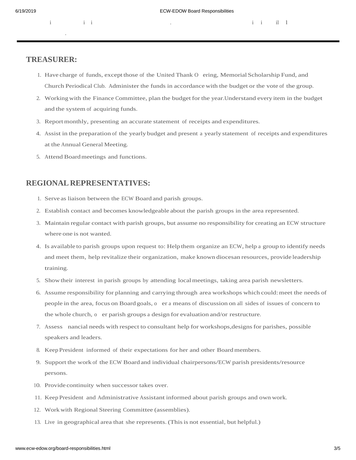.

 $\mathbf{i}$  the subm ss on of the check request form (The Church House photocop er s ava ab e upon  $\mathbf{i}$  ab e upon  $\mathbf{i}$  ab e upon  $\mathbf{i}$  ab e upon  $\mathbf{i}$  ab e upon  $\mathbf{i}$  ab e upon  $\mathbf{i}$  ab e upon  $\mathbf{i}$  ab e upon  $r_{\rm c}$ request ) i i i i il l

#### **TREASURER:**

- 1. Have charge of funds, except those of the United Thank O ering, Memorial Scholarship Fund, and Church Periodical Club. Administer the funds in accordancewith the budget or the vote of the group.
- 2. Working with the Finance Committee, plan the budget for the year. Understand every item in the budget and the system of acquiring funds.
- 3. Reportmonthly, presenting an accurate statement of receipts and expenditures.
- 4. Assist in the preparation of the yearly budget and present <sup>a</sup> yearly statement of receipts and expenditures at the Annual General Meeting.
- 5. Attend Boardmeetings and functions.

# **REGIONAL REPRESENTATIVES:**

- 1. Serve as liaison between the ECW Board and parish groups.
- 2. Establish contact and becomes knowledgeable about the parish groups in the area represented.
- 3. Maintain regular contact with parish groups, but assume no responsibility for creating an ECW structure where one is not wanted.
- 4. Is available to parish groups upon request to: Help them organize an ECW, help a group to identify needs and meet them, help revitalize their organization, make known diocesan resources, provide leadership training.
- 5. Showtheir interest in parish groups by attending localmeetings, taking area parish newsletters.
- 6. Assume responsibility for planning and carrying through area workshops which could:meet the needs of people in the area, focus on Board goals, o er <sup>a</sup> means of discussion on all sides of issues of concern to the whole church, o er parish groups <sup>a</sup> design for evaluation and/or restructure.
- 7. Assess nancial needs with respect to consultant help for workshops,designsfor parishes, possible speakers and leaders.
- 8. Keep President informed of their expectations for her and other Boardmembers.
- 9. Support the work of the ECW Board and individual chairpersons/ECW parish presidents/resource persons.
- 10. Provide continuity when successor takes over.
- 11. Keep President and Administrative Assistant informed about parish groups and own work.
- 12. Workwith Regional Steering Committee (assemblies).
- 13. Live in geographical area that she represents. (Thisis not essential, but helpful.)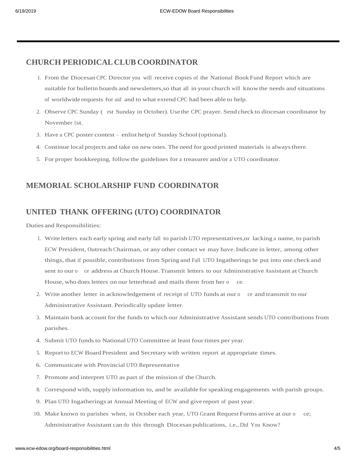# **CHURCH PERIODICAL CLUB COORDINATOR**

- 1. From the Diocesan CPC Director you will receive copies of the National Book Fund Report which are suitable for bulletin boards and newsletters,so that all in your church will knowthe needs and situations of worldwide requests for aid and to what extend CPC had been able to help.
- 2. Observe CPC Sunday ( rst Sunday in October). Use the CPC prayer. Send check to diocesan coordinator by November 1st.
- 3. Have <sup>a</sup> CPC poster contest enlist help of Sunday School (optional).
- 4. Continue local projects and take on new ones. The need for good printed materials is alwaysthere.
- 5. For proper bookkeeping, follow the guidelines for <sup>a</sup> treasurer and/or <sup>a</sup> UTO coordinator.

# **MEMORIAL SCHOLARSHIP FUND COORDINATOR**

# **UNITED THANK OFFERING (UTO) COORDINATOR**

Duties and Responsibilities:

- 1. Write letters each early spring and early fall to parish UTO representatives,or lacking a name, to parish ECW President, Outreach Chairman, or any other contact we may have.Indicate in letter, among other things, that if possible, contributions from Spring and Fall UTO Ingatherings be put into one check and sent to our o ce address at Church House. Transmit letters to our Administrative Assistant at Church House, who does letters on our letterhead and mails them from her o ce.
- 2. Write another letter in acknowledgement of receipt of UTO funds at our o ce and transmit to our Administrative Assistant. Periodically update letter.
- 3. Maintain bank account for the funds to which our Administrative Assistantsends UTO contributions from parishes.
- 4. Submit UTO funds to National UTO Committee at least fourtimes per year.
- 5. Report to ECW Board President and Secretary with written report at appropriate times.
- 6. Communicate with Provincial UTO Representative
- 7. Promote and interpret UTO as part of the mission of the Church.
- 8. Correspond with, supply information to, and be available for speaking engagements with parish groups.
- 9. Plan UTO Ingatherings at Annual Meeting of ECW and give report of past year.
- 10. Make known to parishes when, in October each year, UTO Grant Request Forms arrive at our <sup>o</sup> ce; Administrative Assistant can do this through Diocesan publications, i.e., Did You Know?